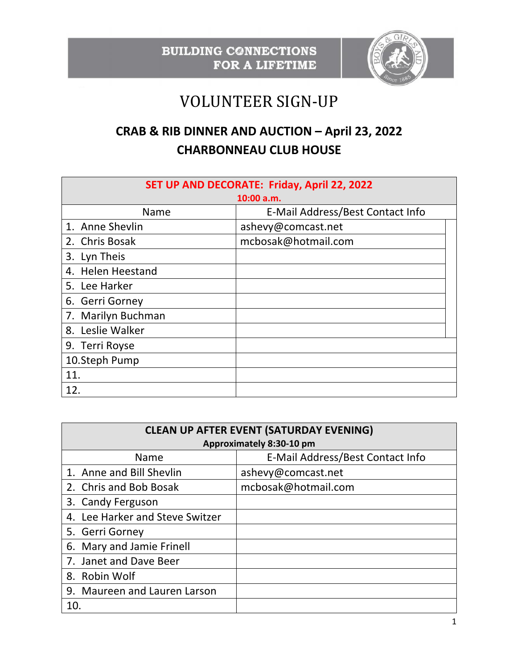

## VOLUNTEER SIGN-UP

## **CRAB & RIB DINNER AND AUCTION – April 23, 2022 CHARBONNEAU CLUB HOUSE**

| SET UP AND DECORATE: Friday, April 22, 2022 |                                  |  |  |
|---------------------------------------------|----------------------------------|--|--|
| 10:00 a.m.                                  |                                  |  |  |
| Name                                        | E-Mail Address/Best Contact Info |  |  |
| 1. Anne Shevlin                             | ashevy@comcast.net               |  |  |
| 2. Chris Bosak                              | mcbosak@hotmail.com              |  |  |
| 3. Lyn Theis                                |                                  |  |  |
| 4. Helen Heestand                           |                                  |  |  |
| 5. Lee Harker                               |                                  |  |  |
| 6. Gerri Gorney                             |                                  |  |  |
| 7. Marilyn Buchman                          |                                  |  |  |
| 8. Leslie Walker                            |                                  |  |  |
| 9. Terri Royse                              |                                  |  |  |
| 10.Steph Pump                               |                                  |  |  |
| 11.                                         |                                  |  |  |
| 12.                                         |                                  |  |  |

| <b>CLEAN UP AFTER EVENT (SATURDAY EVENING)</b> |                                  |  |  |
|------------------------------------------------|----------------------------------|--|--|
| Approximately 8:30-10 pm                       |                                  |  |  |
| <b>Name</b>                                    | E-Mail Address/Best Contact Info |  |  |
| 1. Anne and Bill Shevlin                       | ashevy@comcast.net               |  |  |
| 2. Chris and Bob Bosak                         | mcbosak@hotmail.com              |  |  |
| 3. Candy Ferguson                              |                                  |  |  |
| 4. Lee Harker and Steve Switzer                |                                  |  |  |
| 5. Gerri Gorney                                |                                  |  |  |
| 6. Mary and Jamie Frinell                      |                                  |  |  |
| 7. Janet and Dave Beer                         |                                  |  |  |
| 8. Robin Wolf                                  |                                  |  |  |
| 9. Maureen and Lauren Larson                   |                                  |  |  |
| 10.                                            |                                  |  |  |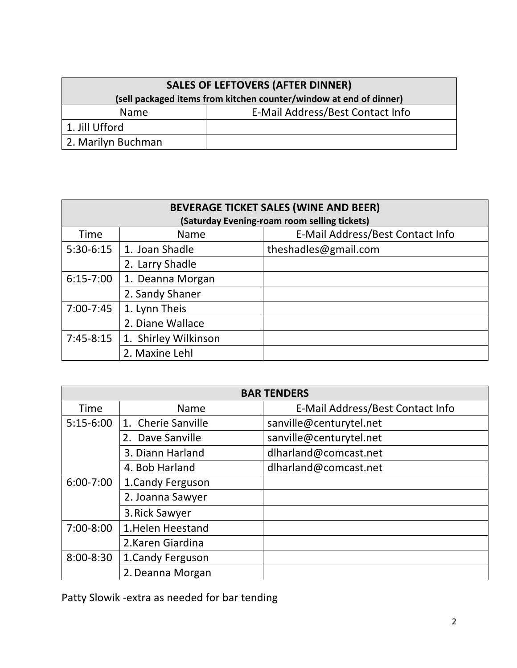| <b>SALES OF LEFTOVERS (AFTER DINNER)</b>                           |                                  |  |
|--------------------------------------------------------------------|----------------------------------|--|
| (sell packaged items from kitchen counter/window at end of dinner) |                                  |  |
| <b>Name</b>                                                        | E-Mail Address/Best Contact Info |  |
| 1. Jill Ufford                                                     |                                  |  |
| 2. Marilyn Buchman                                                 |                                  |  |

| <b>BEVERAGE TICKET SALES (WINE AND BEER)</b> |                      |                                  |  |
|----------------------------------------------|----------------------|----------------------------------|--|
| (Saturday Evening-roam room selling tickets) |                      |                                  |  |
| Time                                         | <b>Name</b>          | E-Mail Address/Best Contact Info |  |
| 5:30-6:15                                    | 1. Joan Shadle       | theshadles@gmail.com             |  |
|                                              | 2. Larry Shadle      |                                  |  |
| $6:15 - 7:00$                                | 1. Deanna Morgan     |                                  |  |
|                                              | 2. Sandy Shaner      |                                  |  |
| $7:00 - 7:45$                                | 1. Lynn Theis        |                                  |  |
|                                              | 2. Diane Wallace     |                                  |  |
| $7:45-8:15$                                  | 1. Shirley Wilkinson |                                  |  |
|                                              | 2. Maxine Lehl       |                                  |  |

| <b>BAR TENDERS</b> |                    |                                  |  |
|--------------------|--------------------|----------------------------------|--|
| Time               | <b>Name</b>        | E-Mail Address/Best Contact Info |  |
| $5:15-6:00$        | 1. Cherie Sanville | sanville@centurytel.net          |  |
|                    | 2. Dave Sanville   | sanville@centurytel.net          |  |
|                    | 3. Diann Harland   | dlharland@comcast.net            |  |
|                    | 4. Bob Harland     | dlharland@comcast.net            |  |
| $6:00 - 7:00$      | 1. Candy Ferguson  |                                  |  |
|                    | 2. Joanna Sawyer   |                                  |  |
|                    | 3. Rick Sawyer     |                                  |  |
| 7:00-8:00          | 1. Helen Heestand  |                                  |  |
|                    | 2.Karen Giardina   |                                  |  |
| $8:00 - 8:30$      | 1. Candy Ferguson  |                                  |  |
|                    | 2. Deanna Morgan   |                                  |  |

Patty Slowik -extra as needed for bar tending